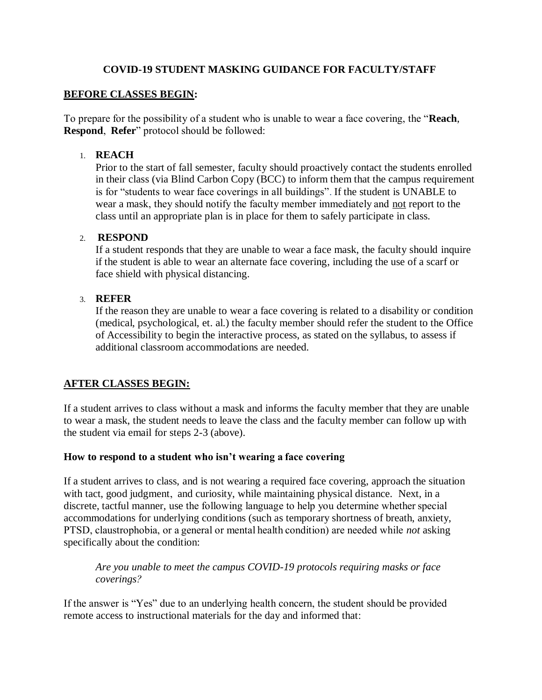### **COVID-19 STUDENT MASKING GUIDANCE FOR FACULTY/STAFF**

#### **BEFORE CLASSES BEGIN:**

To prepare for the possibility of a student who is unable to wear a face covering, the "**Reach**, **Respond**,  **Refer**" protocol should be followed:

#### 1. **REACH**

Prior to the start of fall semester, faculty should proactively contact the students enrolled in their class (via Blind Carbon Copy (BCC) to inform them that the campus requirement is for "students to wear face coverings in all buildings". If the student is UNABLE to wear a mask, they should notify the faculty member immediately and not report to the class until an appropriate plan is in place for them to safely participate in class.

## 2. **RESPOND**

If a student responds that they are unable to wear a face mask, the faculty should inquire if the student is able to wear an alternate face covering, including the use of a scarf or face shield with physical distancing.

### 3. **REFER**

If the reason they are unable to wear a face covering is related to a disability or condition (medical, psychological, et. al.) the faculty member should refer the student to the Office of Accessibility to begin the interactive process, as stated on the syllabus, to assess if additional classroom accommodations are needed.

## **AFTER CLASSES BEGIN:**

If a student arrives to class without a mask and informs the faculty member that they are unable to wear a mask, the student needs to leave the class and the faculty member can follow up with the student via email for steps 2-3 (above).

## **How to respond to a student who isn't wearing a face covering**

If a student arrives to class, and is not wearing a required face covering, approach the situation with tact, good judgment, and curiosity, while maintaining physical distance. Next, in a discrete, tactful manner, use the following language to help you determine whether special accommodations for underlying conditions (such as temporary shortness of breath, anxiety, PTSD, claustrophobia, or a general or mental health condition) are needed while *not* asking specifically about the condition:

*Are you unable to meet the campus COVID-19 protocols requiring masks or face coverings?*

If the answer is "Yes" due to an underlying health concern, the student should be provided remote access to instructional materials for the day and informed that: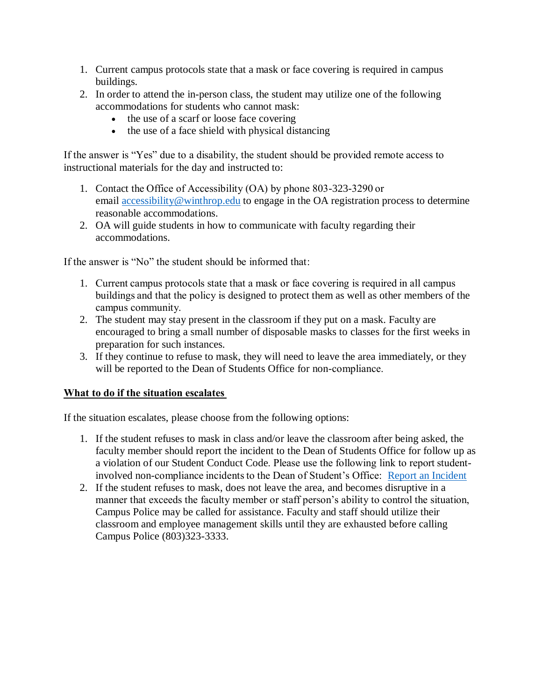- 1. Current campus protocols state that a mask or face covering is required in campus buildings.
- 2. In order to attend the in-person class, the student may utilize one of the following accommodations for students who cannot mask:
	- the use of a scarf or loose face covering
	- $\bullet$  the use of a face shield with physical distancing

If the answer is "Yes" due to a disability, the student should be provided remote access to instructional materials for the day and instructed to:

- 1. Contact the Office of Accessibility (OA) by phone 803-323-3290 or email [accessibility@winthrop.edu](mailto:accessibility@winthrop.edu) to engage in the OA registration process to determine reasonable accommodations.
- 2. OA will guide students in how to communicate with faculty regarding their accommodations.

If the answer is "No" the student should be informed that:  

- 1. Current campus protocols state that a mask or face covering is required in all campus buildings and that the policy is designed to protect them as well as other members of the campus community.
- 2. The student may stay present in the classroom if they put on a mask. Faculty are encouraged to bring a small number of disposable masks to classes for the first weeks in preparation for such instances.
- 3. If they continue to refuse to mask, they will need to leave the area immediately, or they will be reported to the Dean of Students Office for non-compliance.

## **What to do if the situation escalates**

If the situation escalates, please choose from the following options:

- 1. If the student refuses to mask in class and/or leave the classroom after being asked, the faculty member should report the incident to the Dean of Students Office for follow up as a violation of our Student Conduct Code. Please use the following link to report studentinvolved non-compliance incidents to the Dean of Student's Office: [Report an Incident](https://www.winthrop.edu/studentconduct/report-an-incident.aspx)
- 2. If the student refuses to mask, does not leave the area, and becomes disruptive in a manner that exceeds the faculty member or staff person's ability to control the situation, Campus Police may be called for assistance. Faculty and staff should utilize their classroom and employee management skills until they are exhausted before calling Campus Police (803)323-3333.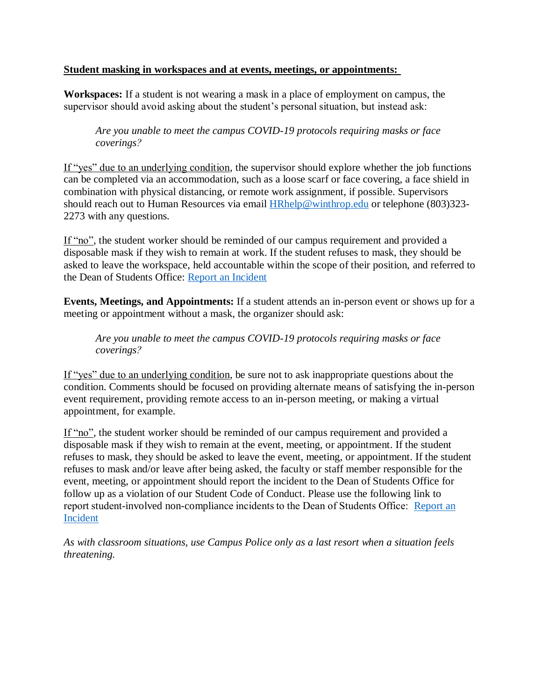#### **Student masking in workspaces and at events, meetings, or appointments:**

**Workspaces:** If a student is not wearing a mask in a place of employment on campus, the supervisor should avoid asking about the student's personal situation, but instead ask:

*Are you unable to meet the campus COVID-19 protocols requiring masks or face coverings?*

If "yes" due to an underlying condition, the supervisor should explore whether the job functions can be completed via an accommodation, such as a loose scarf or face covering, a face shield in combination with physical distancing, or remote work assignment, if possible. Supervisors should reach out to Human Resources via email **[HRhelp@winthrop.edu](mailto:HRhelp@winthrop.edu)** or telephone (803)323-2273 with any questions.

If "no", the student worker should be reminded of our campus requirement and provided a disposable mask if they wish to remain at work. If the student refuses to mask, they should be asked to leave the workspace, held accountable within the scope of their position, and referred to the Dean of Students Office: [Report an Incident](https://www.winthrop.edu/studentconduct/report-an-incident.aspx)

**Events, Meetings, and Appointments:** If a student attends an in-person event or shows up for a meeting or appointment without a mask, the organizer should ask:

*Are you unable to meet the campus COVID-19 protocols requiring masks or face coverings?*

If "yes" due to an underlying condition, be sure not to ask inappropriate questions about the condition. Comments should be focused on providing alternate means of satisfying the in-person event requirement, providing remote access to an in-person meeting, or making a virtual appointment, for example.

If "no", the student worker should be reminded of our campus requirement and provided a disposable mask if they wish to remain at the event, meeting, or appointment. If the student refuses to mask, they should be asked to leave the event, meeting, or appointment. If the student refuses to mask and/or leave after being asked, the faculty or staff member responsible for the event, meeting, or appointment should report the incident to the Dean of Students Office for follow up as a violation of our Student Code of Conduct. Please use the following link to report student-involved non-compliance incidents to the Dean of Students Office: Report an [Incident](https://www.winthrop.edu/studentconduct/report-an-incident.aspx)

*As with classroom situations, use Campus Police only as a last resort when a situation feels threatening.*